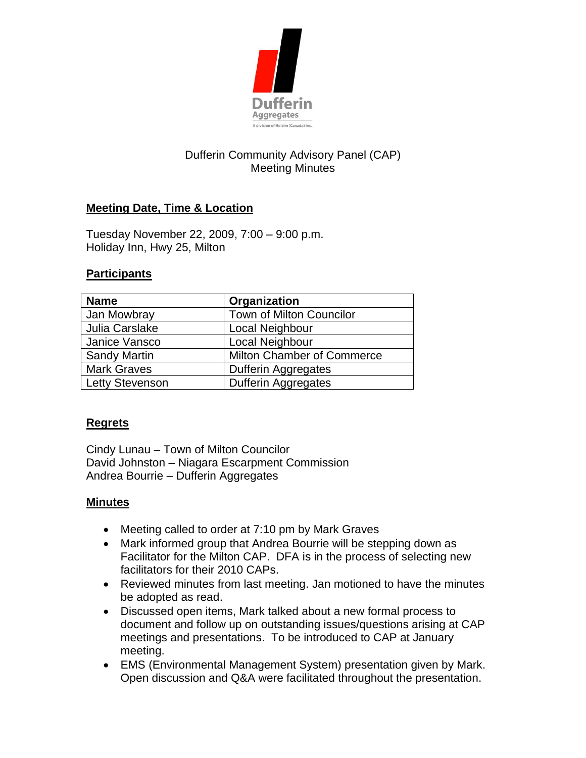

# Dufferin Community Advisory Panel (CAP) Meeting Minutes

## **Meeting Date, Time & Location**

Tuesday November 22, 2009, 7:00 – 9:00 p.m. Holiday Inn, Hwy 25, Milton

#### **Participants**

| <b>Name</b>         | Organization                      |
|---------------------|-----------------------------------|
| Jan Mowbray         | <b>Town of Milton Councilor</b>   |
| Julia Carslake      | Local Neighbour                   |
| Janice Vansco       | Local Neighbour                   |
| <b>Sandy Martin</b> | <b>Milton Chamber of Commerce</b> |
| <b>Mark Graves</b>  | <b>Dufferin Aggregates</b>        |
| Letty Stevenson     | <b>Dufferin Aggregates</b>        |

### **Regrets**

Cindy Lunau – Town of Milton Councilor David Johnston – Niagara Escarpment Commission Andrea Bourrie – Dufferin Aggregates

### **Minutes**

- Meeting called to order at 7:10 pm by Mark Graves
- Mark informed group that Andrea Bourrie will be stepping down as Facilitator for the Milton CAP. DFA is in the process of selecting new facilitators for their 2010 CAPs.
- Reviewed minutes from last meeting. Jan motioned to have the minutes be adopted as read.
- Discussed open items, Mark talked about a new formal process to document and follow up on outstanding issues/questions arising at CAP meetings and presentations. To be introduced to CAP at January meeting.
- EMS (Environmental Management System) presentation given by Mark. Open discussion and Q&A were facilitated throughout the presentation.